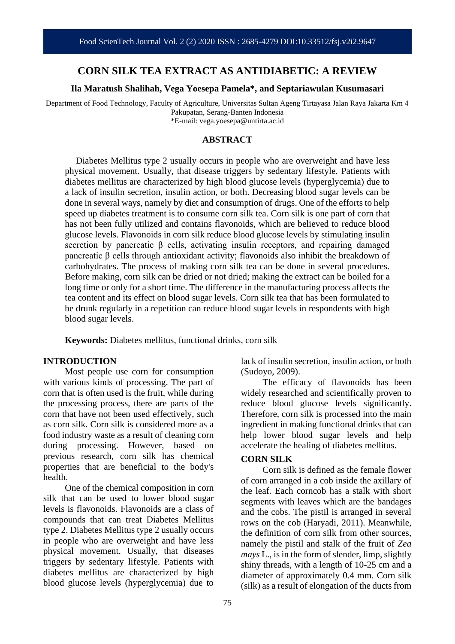## **CORN SILK TEA EXTRACT AS ANTIDIABETIC: A REVIEW**

#### **Ila Maratush Shalihah, Vega Yoesepa Pamela\*, and Septariawulan Kusumasari**

Department of Food Technology, Faculty of Agriculture, Universitas Sultan Ageng Tirtayasa Jalan Raya Jakarta Km 4 Pakupatan, Serang-Banten Indonesia \*E-mail: vega.yoesepa@untirta.ac.id

#### **ABSTRACT**

Diabetes Mellitus type 2 usually occurs in people who are overweight and have less physical movement. Usually, that disease triggers by sedentary lifestyle. Patients with diabetes mellitus are characterized by high blood glucose levels (hyperglycemia) due to a lack of insulin secretion, insulin action, or both. Decreasing blood sugar levels can be done in several ways, namely by diet and consumption of drugs. One of the efforts to help speed up diabetes treatment is to consume corn silk tea. Corn silk is one part of corn that has not been fully utilized and contains flavonoids, which are believed to reduce blood glucose levels. Flavonoids in corn silk reduce blood glucose levels by stimulating insulin secretion by pancreatic β cells, activating insulin receptors, and repairing damaged pancreatic β cells through antioxidant activity; flavonoids also inhibit the breakdown of carbohydrates. The process of making corn silk tea can be done in several procedures. Before making, corn silk can be dried or not dried; making the extract can be boiled for a long time or only for a short time. The difference in the manufacturing process affects the tea content and its effect on blood sugar levels. Corn silk tea that has been formulated to be drunk regularly in a repetition can reduce blood sugar levels in respondents with high blood sugar levels.

**Keywords:** Diabetes mellitus, functional drinks, corn silk

#### **INTRODUCTION**

Most people use corn for consumption with various kinds of processing. The part of corn that is often used is the fruit, while during the processing process, there are parts of the corn that have not been used effectively, such as corn silk. Corn silk is considered more as a food industry waste as a result of cleaning corn during processing. However, based on previous research, corn silk has chemical properties that are beneficial to the body's health.

One of the chemical composition in corn silk that can be used to lower blood sugar levels is flavonoids. Flavonoids are a class of compounds that can treat Diabetes Mellitus type 2. Diabetes Mellitus type 2 usually occurs in people who are overweight and have less physical movement. Usually, that diseases triggers by sedentary lifestyle. Patients with diabetes mellitus are characterized by high blood glucose levels (hyperglycemia) due to

lack of insulin secretion, insulin action, or both (Sudoyo, 2009).

The efficacy of flavonoids has been widely researched and scientifically proven to reduce blood glucose levels significantly. Therefore, corn silk is processed into the main ingredient in making functional drinks that can help lower blood sugar levels and help accelerate the healing of diabetes mellitus.

#### **CORN SILK**

Corn silk is defined as the female flower of corn arranged in a cob inside the axillary of the leaf. Each corncob has a stalk with short segments with leaves which are the bandages and the cobs. The pistil is arranged in several rows on the cob (Haryadi, 2011). Meanwhile, the definition of corn silk from other sources, namely the pistil and stalk of the fruit of *Zea mays* L., is in the form of slender, limp, slightly shiny threads, with a length of 10-25 cm and a diameter of approximately 0.4 mm. Corn silk (silk) as a result of elongation of the ducts from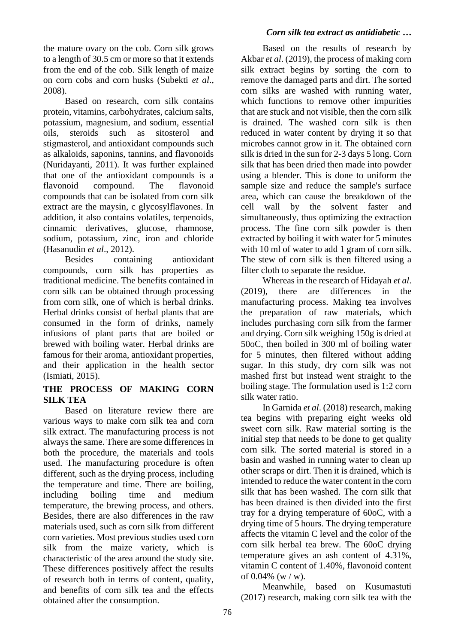#### the mature ovary on the cob. Corn silk grows to a length of 30.5 cm or more so that it extends from the end of the cob. Silk length of maize on corn cobs and corn husks (Subekti *et al*., 2008).

Based on research, corn silk contains protein, vitamins, carbohydrates, calcium salts, potassium, magnesium, and sodium, essential oils, steroids such as sitosterol and stigmasterol, and antioxidant compounds such as alkaloids, saponins, tannins, and flavonoids (Nuridayanti, 2011). It was further explained that one of the antioxidant compounds is a flavonoid compound. The flavonoid compounds that can be isolated from corn silk extract are the maysin, c glycosylflavones. In addition, it also contains volatiles, terpenoids, cinnamic derivatives, glucose, rhamnose, sodium, potassium, zinc, iron and chloride (Hasanudin *et al*., 2012).

Besides containing antioxidant compounds, corn silk has properties as traditional medicine. The benefits contained in corn silk can be obtained through processing from corn silk, one of which is herbal drinks. Herbal drinks consist of herbal plants that are consumed in the form of drinks, namely infusions of plant parts that are boiled or brewed with boiling water. Herbal drinks are famous for their aroma, antioxidant properties, and their application in the health sector (Ismiati, 2015).

# **THE PROCESS OF MAKING CORN SILK TEA**

Based on literature review there are various ways to make corn silk tea and corn silk extract. The manufacturing process is not always the same. There are some differences in both the procedure, the materials and tools used. The manufacturing procedure is often different, such as the drying process, including the temperature and time. There are boiling, including boiling time and medium temperature, the brewing process, and others. Besides, there are also differences in the raw materials used, such as corn silk from different corn varieties. Most previous studies used corn silk from the maize variety, which is characteristic of the area around the study site. These differences positively affect the results of research both in terms of content, quality, and benefits of corn silk tea and the effects obtained after the consumption.

## *Corn silk tea extract as antidiabetic …*

Based on the results of research by Akbar *et al*. (2019), the process of making corn silk extract begins by sorting the corn to remove the damaged parts and dirt. The sorted corn silks are washed with running water, which functions to remove other impurities that are stuck and not visible, then the corn silk is drained. The washed corn silk is then reduced in water content by drying it so that microbes cannot grow in it. The obtained corn silk is dried in the sun for 2-3 days 5 long. Corn silk that has been dried then made into powder using a blender. This is done to uniform the sample size and reduce the sample's surface area, which can cause the breakdown of the cell wall by the solvent faster and simultaneously, thus optimizing the extraction process. The fine corn silk powder is then extracted by boiling it with water for 5 minutes with 10 ml of water to add 1 gram of corn silk. The stew of corn silk is then filtered using a filter cloth to separate the residue.

Whereas in the research of Hidayah *et al*. (2019), there are differences in the manufacturing process. Making tea involves the preparation of raw materials, which includes purchasing corn silk from the farmer and drying. Corn silk weighing 150g is dried at 50oC, then boiled in 300 ml of boiling water for 5 minutes, then filtered without adding sugar. In this study, dry corn silk was not mashed first but instead went straight to the boiling stage. The formulation used is 1:2 corn silk water ratio.

In Garnida *et al*. (2018) research, making tea begins with preparing eight weeks old sweet corn silk. Raw material sorting is the initial step that needs to be done to get quality corn silk. The sorted material is stored in a basin and washed in running water to clean up other scraps or dirt. Then it is drained, which is intended to reduce the water content in the corn silk that has been washed. The corn silk that has been drained is then divided into the first tray for a drying temperature of 60oC, with a drying time of 5 hours. The drying temperature affects the vitamin C level and the color of the corn silk herbal tea brew. The 60oC drying temperature gives an ash content of 4.31%, vitamin C content of 1.40%, flavonoid content of  $0.04\%$  (w / w).

Meanwhile, based on Kusumastuti (2017) research, making corn silk tea with the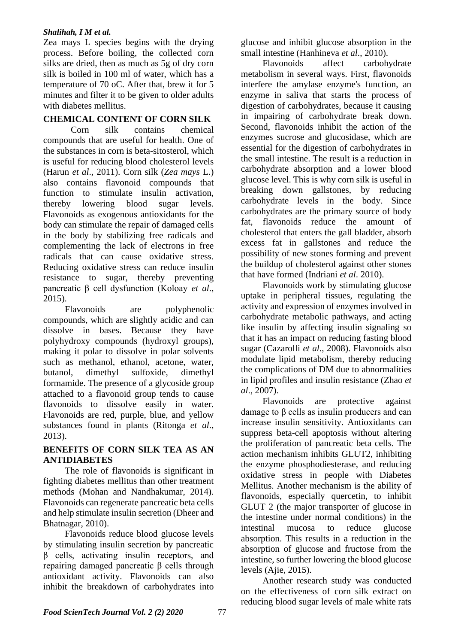#### *Shalihah, I M et al.*

Zea mays L species begins with the drying process. Before boiling, the collected corn silks are dried, then as much as 5g of dry corn silk is boiled in 100 ml of water, which has a temperature of 70 oC. After that, brew it for 5 minutes and filter it to be given to older adults with diabetes mellitus.

# **CHEMICAL CONTENT OF CORN SILK**

Corn silk contains chemical compounds that are useful for health. One of the substances in corn is beta-sitosterol, which is useful for reducing blood cholesterol levels (Harun *et al*., 2011). Corn silk (*Zea mays* L.) also contains flavonoid compounds that function to stimulate insulin activation, thereby lowering blood sugar levels. Flavonoids as exogenous antioxidants for the body can stimulate the repair of damaged cells in the body by stabilizing free radicals and complementing the lack of electrons in free radicals that can cause oxidative stress. Reducing oxidative stress can reduce insulin resistance to sugar, thereby preventing pancreatic β cell dysfunction (Koloay *et al*., 2015).

Flavonoids are polyphenolic compounds, which are slightly acidic and can dissolve in bases. Because they have polyhydroxy compounds (hydroxyl groups), making it polar to dissolve in polar solvents such as methanol, ethanol, acetone, water, butanol, dimethyl sulfoxide, dimethyl formamide. The presence of a glycoside group attached to a flavonoid group tends to cause flavonoids to dissolve easily in water. Flavonoids are red, purple, blue, and yellow substances found in plants (Ritonga *et al*., 2013).

## **BENEFITS OF CORN SILK TEA AS AN ANTIDIABETES**

The role of flavonoids is significant in fighting diabetes mellitus than other treatment methods (Mohan and Nandhakumar, 2014). Flavonoids can regenerate pancreatic beta cells and help stimulate insulin secretion (Dheer and Bhatnagar, 2010).

Flavonoids reduce blood glucose levels by stimulating insulin secretion by pancreatic β cells, activating insulin receptors, and repairing damaged pancreatic β cells through antioxidant activity. Flavonoids can also inhibit the breakdown of carbohydrates into glucose and inhibit glucose absorption in the small intestine (Hanhineva *et al*., 2010).

Flavonoids affect carbohydrate metabolism in several ways. First, flavonoids interfere the amylase enzyme's function, an enzyme in saliva that starts the process of digestion of carbohydrates, because it causing in impairing of carbohydrate break down. Second, flavonoids inhibit the action of the enzymes sucrose and glucosidase, which are essential for the digestion of carbohydrates in the small intestine. The result is a reduction in carbohydrate absorption and a lower blood glucose level. This is why corn silk is useful in breaking down gallstones, by reducing carbohydrate levels in the body. Since carbohydrates are the primary source of body fat, flavonoids reduce the amount of cholesterol that enters the gall bladder, absorb excess fat in gallstones and reduce the possibility of new stones forming and prevent the buildup of cholesterol against other stones that have formed (Indriani *et al*. 2010).

Flavonoids work by stimulating glucose uptake in peripheral tissues, regulating the activity and expression of enzymes involved in carbohydrate metabolic pathways, and acting like insulin by affecting insulin signaling so that it has an impact on reducing fasting blood sugar (Cazarolli *et al*., 2008). Flavonoids also modulate lipid metabolism, thereby reducing the complications of DM due to abnormalities in lipid profiles and insulin resistance (Zhao *et al*., 2007).

Flavonoids are protective against damage to β cells as insulin producers and can increase insulin sensitivity. Antioxidants can suppress beta-cell apoptosis without altering the proliferation of pancreatic beta cells. The action mechanism inhibits GLUT2, inhibiting the enzyme phosphodiesterase, and reducing oxidative stress in people with Diabetes Mellitus. Another mechanism is the ability of flavonoids, especially quercetin, to inhibit GLUT 2 (the major transporter of glucose in the intestine under normal conditions) in the intestinal mucosa to reduce glucose absorption. This results in a reduction in the absorption of glucose and fructose from the intestine, so further lowering the blood glucose levels (Ajie, 2015).

Another research study was conducted on the effectiveness of corn silk extract on reducing blood sugar levels of male white rats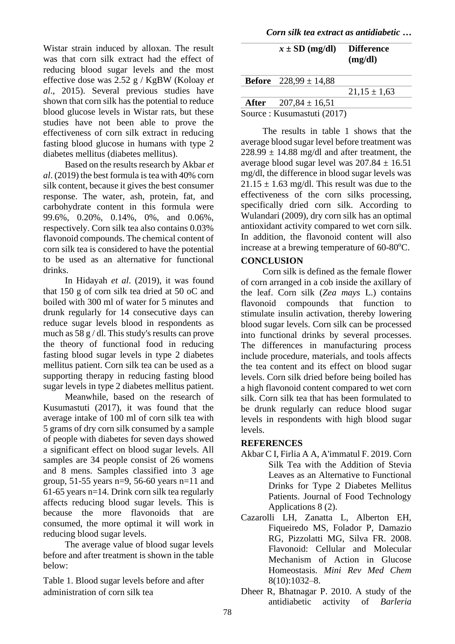*Corn silk tea extract as antidiabetic …*

Wistar strain induced by alloxan. The result was that corn silk extract had the effect of reducing blood sugar levels and the most effective dose was 2.52 g / KgBW (Koloay *et al*., 2015). Several previous studies have shown that corn silk has the potential to reduce blood glucose levels in Wistar rats, but these studies have not been able to prove the effectiveness of corn silk extract in reducing fasting blood glucose in humans with type 2 diabetes mellitus (diabetes mellitus).

Based on the results research by Akbar *et al*. (2019) the best formula is tea with 40% corn silk content, because it gives the best consumer response. The water, ash, protein, fat, and carbohydrate content in this formula were 99.6%, 0.20%, 0.14%, 0%, and 0.06%, respectively. Corn silk tea also contains 0.03% flavonoid compounds. The chemical content of corn silk tea is considered to have the potential to be used as an alternative for functional drinks.

In Hidayah *et al*. (2019), it was found that 150 g of corn silk tea dried at 50 oC and boiled with 300 ml of water for 5 minutes and drunk regularly for 14 consecutive days can reduce sugar levels blood in respondents as much as 58 g / dl. This study's results can prove the theory of functional food in reducing fasting blood sugar levels in type 2 diabetes mellitus patient. Corn silk tea can be used as a supporting therapy in reducing fasting blood sugar levels in type 2 diabetes mellitus patient.

Meanwhile, based on the research of Kusumastuti (2017), it was found that the average intake of 100 ml of corn silk tea with 5 grams of dry corn silk consumed by a sample of people with diabetes for seven days showed a significant effect on blood sugar levels. All samples are 34 people consist of 26 womens and 8 mens. Samples classified into 3 age group, 51-55 years n=9, 56-60 years n=11 and 61-65 years n=14. Drink corn silk tea regularly affects reducing blood sugar levels. This is because the more flavonoids that are consumed, the more optimal it will work in reducing blood sugar levels.

The average value of blood sugar levels before and after treatment is shown in the table below:

Table 1. Blood sugar levels before and after administration of corn silk tea

| $x \pm SD$ (mg/dl)               | <b>Difference</b><br>(mg/dl) |
|----------------------------------|------------------------------|
|                                  |                              |
| <b>Before</b> $228,99 \pm 14,88$ |                              |
|                                  | $21,15 \pm 1,63$             |
| After $207,84 \pm 16,51$         |                              |
| Source : Kusumastuti (2017)      |                              |

The results in table 1 shows that the average blood sugar level before treatment was  $228.99 \pm 14.88$  mg/dl and after treatment, the average blood sugar level was  $207.84 \pm 16.51$ mg/dl, the difference in blood sugar levels was  $21.15 \pm 1.63$  mg/dl. This result was due to the effectiveness of the corn silks processing, specifically dried corn silk. According to Wulandari (2009), dry corn silk has an optimal antioxidant activity compared to wet corn silk. In addition, the flavonoid content will also increase at a brewing temperature of  $60-80^{\circ}$ C.

### **CONCLUSION**

Corn silk is defined as the female flower of corn arranged in a cob inside the axillary of the leaf. Corn silk (*Zea mays* L.) contains flavonoid compounds that function to stimulate insulin activation, thereby lowering blood sugar levels. Corn silk can be processed into functional drinks by several processes. The differences in manufacturing process include procedure, materials, and tools affects the tea content and its effect on blood sugar levels. Corn silk dried before being boiled has a high flavonoid content compared to wet corn silk. Corn silk tea that has been formulated to be drunk regularly can reduce blood sugar levels in respondents with high blood sugar levels.

## **REFERENCES**

- Akbar C I, Firlia A A, A'immatul F. 2019. Corn Silk Tea with the Addition of Stevia Leaves as an Alternative to Functional Drinks for Type 2 Diabetes Mellitus Patients. Journal of Food Technology Applications 8 (2).
- Cazarolli LH, Zanatta L, Alberton EH, Fiqueiredo MS, Folador P, Damazio RG, Pizzolatti MG, Silva FR. 2008. Flavonoid: Cellular and Molecular Mechanism of Action in Glucose Homeostasis*. Mini Rev Med Chem*  8(10):1032–8.
- Dheer R, Bhatnagar P. 2010. A study of the antidiabetic activity of *Barleria*